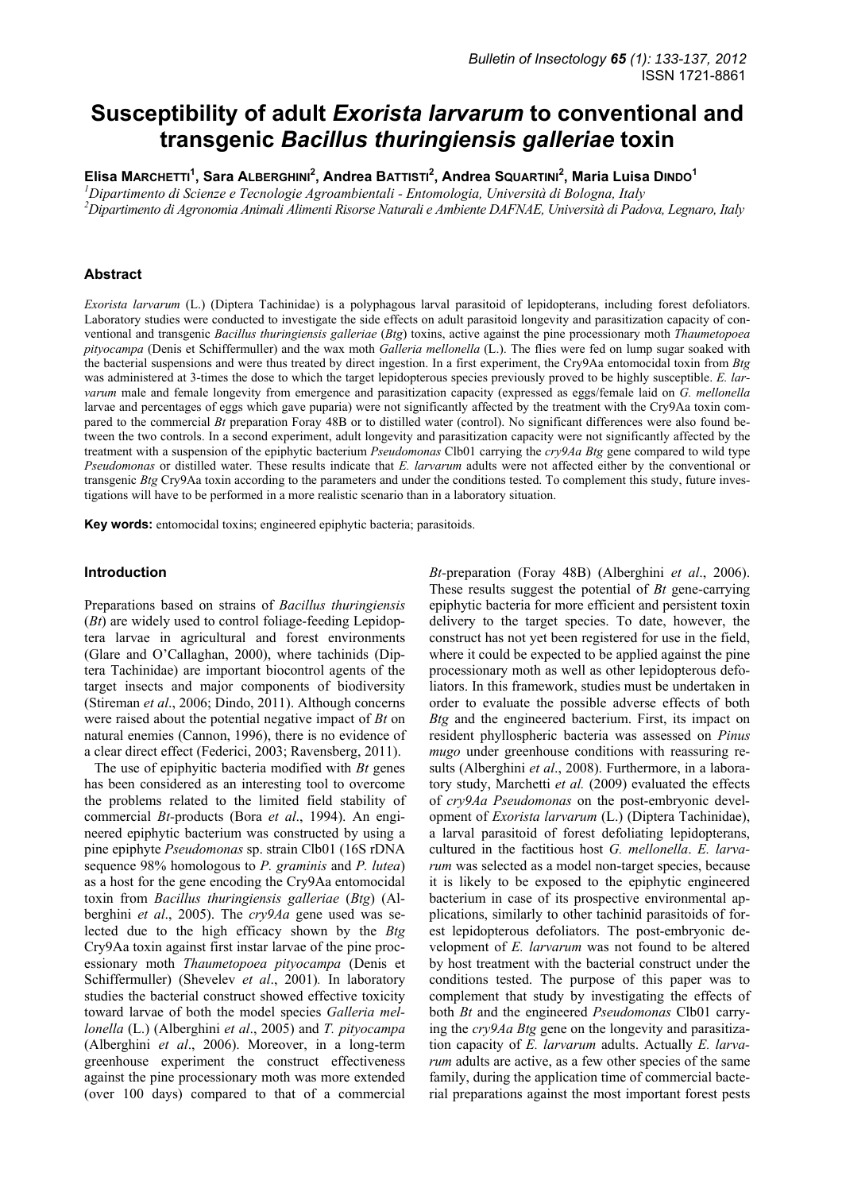# **Susceptibility of adult** *Exorista larvarum* **to conventional and transgenic** *Bacillus thuringiensis galleriae* **toxin**

**Elisa MARCHETTI<sup>1</sup> , Sara ALBERGHINI<sup>2</sup> , Andrea BATTISTI2 , Andrea SQUARTINI<sup>2</sup> , Maria Luisa DINDO<sup>1</sup>**

*1 Dipartimento di Scienze e Tecnologie Agroambientali - Entomologia, Università di Bologna, Italy* 

*2 Dipartimento di Agronomia Animali Alimenti Risorse Naturali e Ambiente DAFNAE, Università di Padova, Legnaro, Italy* 

# **Abstract**

*Exorista larvarum* (L.) (Diptera Tachinidae) is a polyphagous larval parasitoid of lepidopterans, including forest defoliators. Laboratory studies were conducted to investigate the side effects on adult parasitoid longevity and parasitization capacity of conventional and transgenic *Bacillus thuringiensis galleriae* (*Btg*) toxins, active against the pine processionary moth *Thaumetopoea pityocampa* (Denis et Schiffermuller) and the wax moth *Galleria mellonella* (L.). The flies were fed on lump sugar soaked with the bacterial suspensions and were thus treated by direct ingestion. In a first experiment, the Cry9Aa entomocidal toxin from *Btg* was administered at 3-times the dose to which the target lepidopterous species previously proved to be highly susceptible. *E. larvarum* male and female longevity from emergence and parasitization capacity (expressed as eggs/female laid on *G. mellonella*  larvae and percentages of eggs which gave puparia) were not significantly affected by the treatment with the Cry9Aa toxin compared to the commercial *Bt* preparation Foray 48B or to distilled water (control). No significant differences were also found between the two controls. In a second experiment, adult longevity and parasitization capacity were not significantly affected by the treatment with a suspension of the epiphytic bacterium *Pseudomonas* Clb01 carrying the *cry9Aa Btg* gene compared to wild type *Pseudomonas* or distilled water. These results indicate that *E. larvarum* adults were not affected either by the conventional or transgenic *Btg* Cry9Aa toxin according to the parameters and under the conditions tested. To complement this study, future investigations will have to be performed in a more realistic scenario than in a laboratory situation.

**Key words:** entomocidal toxins; engineered epiphytic bacteria; parasitoids.

## **Introduction**

Preparations based on strains of *Bacillus thuringiensis* (*Bt*) are widely used to control foliage-feeding Lepidoptera larvae in agricultural and forest environments (Glare and O'Callaghan, 2000), where tachinids (Diptera Tachinidae) are important biocontrol agents of the target insects and major components of biodiversity (Stireman *et al*., 2006; Dindo, 2011). Although concerns were raised about the potential negative impact of *Bt* on natural enemies (Cannon, 1996), there is no evidence of a clear direct effect (Federici, 2003; Ravensberg, 2011).

The use of epiphyitic bacteria modified with *Bt* genes has been considered as an interesting tool to overcome the problems related to the limited field stability of commercial *Bt-*products (Bora *et al*., 1994). An engineered epiphytic bacterium was constructed by using a pine epiphyte *Pseudomonas* sp. strain Clb01 (16S rDNA sequence 98% homologous to *P. graminis* and *P. lutea*) as a host for the gene encoding the Cry9Aa entomocidal toxin from *Bacillus thuringiensis galleriae* (*Btg*) (Alberghini *et al*., 2005). The *cry9Aa* gene used was selected due to the high efficacy shown by the *Btg*  Cry9Aa toxin against first instar larvae of the pine processionary moth *Thaumetopoea pityocampa* (Denis et Schiffermuller) (Shevelev *et al*., 2001)*.* In laboratory studies the bacterial construct showed effective toxicity toward larvae of both the model species *Galleria mellonella* (L.) (Alberghini *et al*., 2005) and *T. pityocampa*  (Alberghini *et al*., 2006). Moreover, in a long-term greenhouse experiment the construct effectiveness against the pine processionary moth was more extended (over 100 days) compared to that of a commercial

*Bt-*preparation (Foray 48B) (Alberghini *et al*., 2006). These results suggest the potential of *Bt* gene-carrying epiphytic bacteria for more efficient and persistent toxin delivery to the target species. To date, however, the construct has not yet been registered for use in the field, where it could be expected to be applied against the pine processionary moth as well as other lepidopterous defoliators. In this framework, studies must be undertaken in order to evaluate the possible adverse effects of both *Btg* and the engineered bacterium. First, its impact on resident phyllospheric bacteria was assessed on *Pinus mugo* under greenhouse conditions with reassuring results (Alberghini *et al*., 2008). Furthermore, in a laboratory study, Marchetti *et al.* (2009) evaluated the effects of *cry9Aa Pseudomonas* on the post-embryonic development of *Exorista larvarum* (L.) (Diptera Tachinidae), a larval parasitoid of forest defoliating lepidopterans, cultured in the factitious host *G. mellonella*. *E. larvarum* was selected as a model non-target species, because it is likely to be exposed to the epiphytic engineered bacterium in case of its prospective environmental applications, similarly to other tachinid parasitoids of forest lepidopterous defoliators. The post-embryonic development of *E. larvarum* was not found to be altered by host treatment with the bacterial construct under the conditions tested. The purpose of this paper was to complement that study by investigating the effects of both *Bt* and the engineered *Pseudomonas* Clb01 carrying the *cry9Aa Btg* gene on the longevity and parasitization capacity of *E. larvarum* adults. Actually *E. larvarum* adults are active, as a few other species of the same family, during the application time of commercial bacterial preparations against the most important forest pests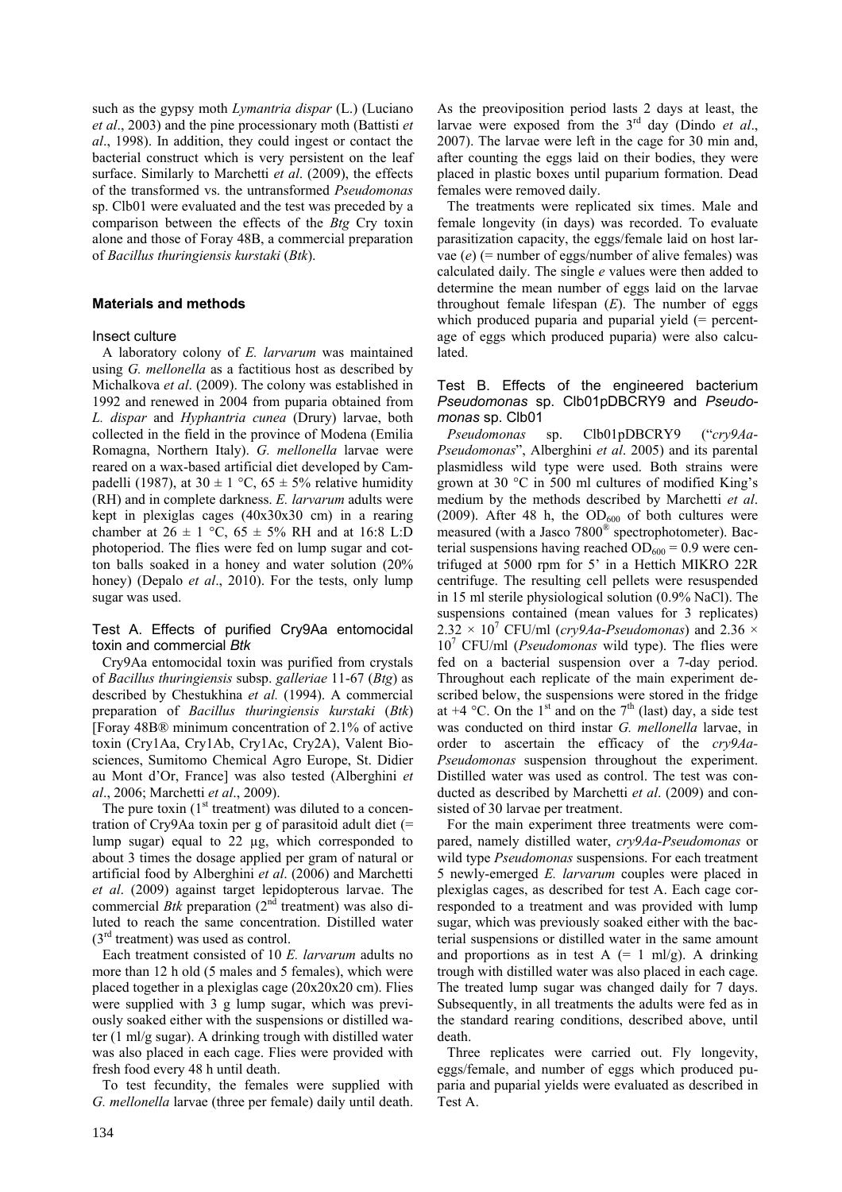such as the gypsy moth *Lymantria dispar* (L.) (Luciano *et al*., 2003) and the pine processionary moth (Battisti *et al*., 1998). In addition, they could ingest or contact the bacterial construct which is very persistent on the leaf surface. Similarly to Marchetti *et al*. (2009), the effects of the transformed vs. the untransformed *Pseudomonas*  sp. Clb01 were evaluated and the test was preceded by a comparison between the effects of the *Btg* Cry toxin alone and those of Foray 48B, a commercial preparation of *Bacillus thuringiensis kurstaki* (*Btk*).

# **Materials and methods**

### Insect culture

A laboratory colony of *E. larvarum* was maintained using *G. mellonella* as a factitious host as described by Michalkova *et al*. (2009). The colony was established in 1992 and renewed in 2004 from puparia obtained from *L. dispar* and *Hyphantria cunea* (Drury) larvae, both collected in the field in the province of Modena (Emilia Romagna, Northern Italy). *G. mellonella* larvae were reared on a wax-based artificial diet developed by Campadelli (1987), at  $30 \pm 1$  °C,  $65 \pm 5$ % relative humidity (RH) and in complete darkness. *E. larvarum* adults were kept in plexiglas cages (40x30x30 cm) in a rearing chamber at  $26 \pm 1$  °C,  $65 \pm 5\%$  RH and at 16:8 L:D photoperiod. The flies were fed on lump sugar and cotton balls soaked in a honey and water solution (20% honey) (Depalo *et al*., 2010). For the tests, only lump sugar was used.

# Test A. Effects of purified Cry9Aa entomocidal toxin and commercial *Btk*

Cry9Aa entomocidal toxin was purified from crystals of *Bacillus thuringiensis* subsp. *galleriae* 11-67 (*Btg*) as described by Chestukhina *et al.* (1994). A commercial preparation of *Bacillus thuringiensis kurstaki* (*Btk*) [Foray 48B® minimum concentration of 2.1% of active toxin (Cry1Aa, Cry1Ab, Cry1Ac, Cry2A), Valent Biosciences, Sumitomo Chemical Agro Europe, St. Didier au Mont d'Or, France] was also tested (Alberghini *et al*., 2006; Marchetti *et al*., 2009).

The pure toxin  $(1<sup>st</sup> treatment)$  was diluted to a concentration of Cry9Aa toxin per g of parasitoid adult diet (= lump sugar) equal to 22 µg, which corresponded to about 3 times the dosage applied per gram of natural or artificial food by Alberghini *et al*. (2006) and Marchetti *et al*. (2009) against target lepidopterous larvae. The commercial *Btk* preparation (2<sup>nd</sup> treatment) was also diluted to reach the same concentration. Distilled water  $(3<sup>rd</sup> treatment)$  was used as control.

Each treatment consisted of 10 *E. larvarum* adults no more than 12 h old (5 males and 5 females), which were placed together in a plexiglas cage (20x20x20 cm). Flies were supplied with 3 g lump sugar, which was previously soaked either with the suspensions or distilled water (1 ml/g sugar). A drinking trough with distilled water was also placed in each cage. Flies were provided with fresh food every 48 h until death.

To test fecundity, the females were supplied with *G. mellonella* larvae (three per female) daily until death. As the preoviposition period lasts 2 days at least, the larvae were exposed from the 3rd day (Dindo *et al*., 2007). The larvae were left in the cage for 30 min and, after counting the eggs laid on their bodies, they were placed in plastic boxes until puparium formation. Dead females were removed daily.

The treatments were replicated six times. Male and female longevity (in days) was recorded. To evaluate parasitization capacity, the eggs/female laid on host larvae (*e*) (= number of eggs/number of alive females) was calculated daily. The single *e* values were then added to determine the mean number of eggs laid on the larvae throughout female lifespan (*E*). The number of eggs which produced puparia and puparial yield (= percentage of eggs which produced puparia) were also calculated.

# Test B. Effects of the engineered bacterium *Pseudomonas* sp. Clb01pDBCRY9 and *Pseudomonas* sp. Clb01

*Pseudomonas* sp. Clb01pDBCRY9 ("*cry9Aa*-*Pseudomonas*", Alberghini *et al*. 2005) and its parental plasmidless wild type were used. Both strains were grown at 30 °C in 500 ml cultures of modified King's medium by the methods described by Marchetti *et al*. (2009). After 48 h, the  $OD_{600}$  of both cultures were measured (with a Jasco 7800® spectrophotometer). Bacterial suspensions having reached  $OD_{600} = 0.9$  were centrifuged at 5000 rpm for 5' in a Hettich MIKRO 22R centrifuge. The resulting cell pellets were resuspended in 15 ml sterile physiological solution (0.9% NaCl). The suspensions contained (mean values for 3 replicates)  $2.32 \times 10^7$  CFU/ml (*cry9Aa-Pseudomonas*) and 2.36  $\times$ 10<sup>7</sup> CFU/ml (*Pseudomonas* wild type). The flies were fed on a bacterial suspension over a 7-day period. Throughout each replicate of the main experiment described below, the suspensions were stored in the fridge at  $+4$  °C. On the 1<sup>st</sup> and on the 7<sup>th</sup> (last) day, a side test was conducted on third instar *G. mellonella* larvae, in order to ascertain the efficacy of the *cry9Aa-Pseudomonas* suspension throughout the experiment. Distilled water was used as control. The test was conducted as described by Marchetti *et al*. (2009) and consisted of 30 larvae per treatment.

For the main experiment three treatments were compared, namely distilled water, *cry9Aa*-*Pseudomonas* or wild type *Pseudomonas* suspensions. For each treatment 5 newly-emerged *E. larvarum* couples were placed in plexiglas cages, as described for test A. Each cage corresponded to a treatment and was provided with lump sugar, which was previously soaked either with the bacterial suspensions or distilled water in the same amount and proportions as in test  $A = 1$  ml/g). A drinking trough with distilled water was also placed in each cage. The treated lump sugar was changed daily for 7 days. Subsequently, in all treatments the adults were fed as in the standard rearing conditions, described above, until death.

Three replicates were carried out. Fly longevity, eggs/female, and number of eggs which produced puparia and puparial yields were evaluated as described in Test A.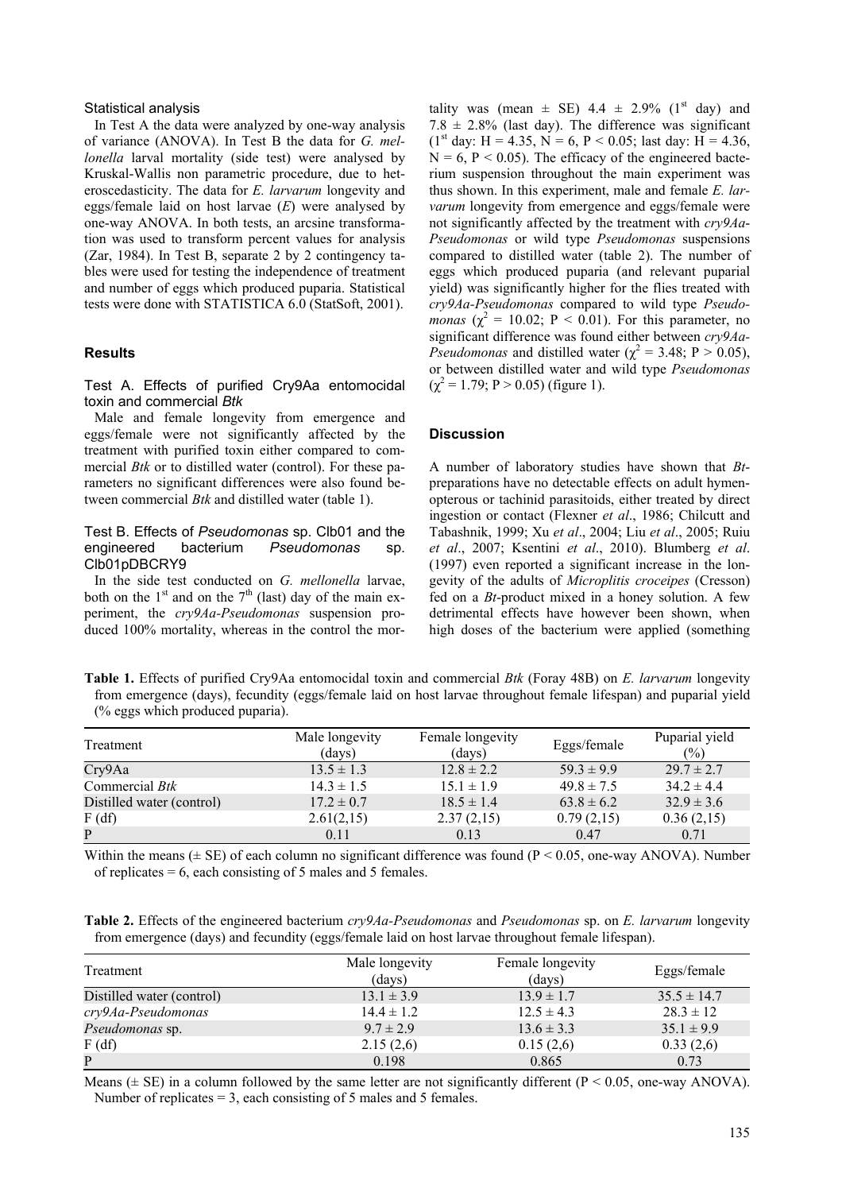#### Statistical analysis

In Test A the data were analyzed by one-way analysis of variance (ANOVA). In Test B the data for *G. mellonella* larval mortality (side test) were analysed by Kruskal-Wallis non parametric procedure, due to heteroscedasticity. The data for *E. larvarum* longevity and eggs/female laid on host larvae (*E*) were analysed by one-way ANOVA. In both tests, an arcsine transformation was used to transform percent values for analysis (Zar, 1984). In Test B, separate 2 by 2 contingency tables were used for testing the independence of treatment and number of eggs which produced puparia. Statistical tests were done with STATISTICA 6.0 (StatSoft, 2001).

#### **Results**

## Test A. Effects of purified Cry9Aa entomocidal toxin and commercial *Btk*

Male and female longevity from emergence and eggs/female were not significantly affected by the treatment with purified toxin either compared to commercial *Btk* or to distilled water (control). For these parameters no significant differences were also found between commercial *Btk* and distilled water (table 1).

## Test B. Effects of *Pseudomonas* sp. Clb01 and the engineered bacterium *Pseudomonas* sp. Clb01pDBCRY9

In the side test conducted on *G. mellonella* larvae, both on the  $1<sup>st</sup>$  and on the  $7<sup>th</sup>$  (last) day of the main experiment, the *cry9Aa-Pseudomonas* suspension produced 100% mortality, whereas in the control the mortality was (mean  $\pm$  SE) 4.4  $\pm$  2.9% (1<sup>st</sup> day) and  $7.8 \pm 2.8\%$  (last day). The difference was significant  $(1<sup>st</sup> day: H = 4.35, N = 6, P < 0.05$ ; last day: H = 4.36,  $N = 6$ ,  $P < 0.05$ ). The efficacy of the engineered bacterium suspension throughout the main experiment was thus shown. In this experiment, male and female *E. larvarum* longevity from emergence and eggs/female were not significantly affected by the treatment with *cry9Aa*-*Pseudomonas* or wild type *Pseudomonas* suspensions compared to distilled water (table 2). The number of eggs which produced puparia (and relevant puparial yield) was significantly higher for the flies treated with *cry9Aa-Pseudomonas* compared to wild type *Pseudomonas* ( $\chi^2 = 10.02$ ; P < 0.01). For this parameter, no significant difference was found either between *cry9Aa-Pseudomonas* and distilled water ( $\chi^2 = 3.48$ ; P  $> 0.05$ ), or between distilled water and wild type *Pseudomonas*   $(\chi^2 = 1.79; P > 0.05)$  (figure 1).

#### **Discussion**

A number of laboratory studies have shown that *Bt*preparations have no detectable effects on adult hymenopterous or tachinid parasitoids, either treated by direct ingestion or contact (Flexner *et al*., 1986; Chilcutt and Tabashnik, 1999; Xu *et al*., 2004; Liu *et al*., 2005; Ruiu *et al*., 2007; Ksentini *et al*., 2010). Blumberg *et al*. (1997) even reported a significant increase in the longevity of the adults of *Microplitis croceipes* (Cresson) fed on a *Bt*-product mixed in a honey solution. A few detrimental effects have however been shown, when high doses of the bacterium were applied (something

**Table 1.** Effects of purified Cry9Aa entomocidal toxin and commercial *Btk* (Foray 48B) on *E. larvarum* longevity from emergence (days), fecundity (eggs/female laid on host larvae throughout female lifespan) and puparial yield (% eggs which produced puparia).

| Treatment                 | Male longevity<br>(days) | Female longevity<br>(days) | Eggs/female    | Puparial yield<br>$(\%)$ |
|---------------------------|--------------------------|----------------------------|----------------|--------------------------|
| Cry9Aa                    | $13.5 \pm 1.3$           | $12.8 \pm 2.2$             | $59.3 \pm 9.9$ | $29.7 \pm 2.7$           |
| Commercial <i>Btk</i>     | $14.3 \pm 1.5$           | $15.1 \pm 1.9$             | $49.8 \pm 7.5$ | $34.2 \pm 4.4$           |
| Distilled water (control) | $17.2 \pm 0.7$           | $18.5 \pm 1.4$             | $63.8 \pm 6.2$ | $32.9 \pm 3.6$           |
| F(df)                     | 2.61(2,15)               | 2.37(2,15)                 | 0.79(2,15)     | 0.36(2,15)               |
| P                         | 0.11                     | 0.13                       | 0.47           | 0.71                     |

Within the means  $(\pm S E)$  of each column no significant difference was found (P < 0.05, one-way ANOVA). Number of replicates  $= 6$ , each consisting of 5 males and 5 females.

**Table 2.** Effects of the engineered bacterium *cry9Aa-Pseudomonas* and *Pseudomonas* sp. on *E. larvarum* longevity from emergence (days) and fecundity (eggs/female laid on host larvae throughout female lifespan).

| Treatment                 | Male longevity<br>(days) | Female longevity<br>(days) | Eggs/female     |
|---------------------------|--------------------------|----------------------------|-----------------|
| Distilled water (control) | $13.1 \pm 3.9$           | $13.9 \pm 1.7$             | $35.5 \pm 14.7$ |
| cry9Aa-Pseudomonas        | $14.4 \pm 1.2$           | $12.5 \pm 4.3$             | $28.3 \pm 12$   |
| <i>Pseudomonas</i> sp.    | $9.7 \pm 2.9$            | $13.6 \pm 3.3$             | $35.1 \pm 9.9$  |
| F(df)                     | 2.15(2,6)                | 0.15(2,6)                  | 0.33(2,6)       |
| P                         | 0.198                    | 0.865                      | 0.73            |

Means ( $\pm$  SE) in a column followed by the same letter are not significantly different (P < 0.05, one-way ANOVA). Number of replicates  $= 3$ , each consisting of 5 males and 5 females.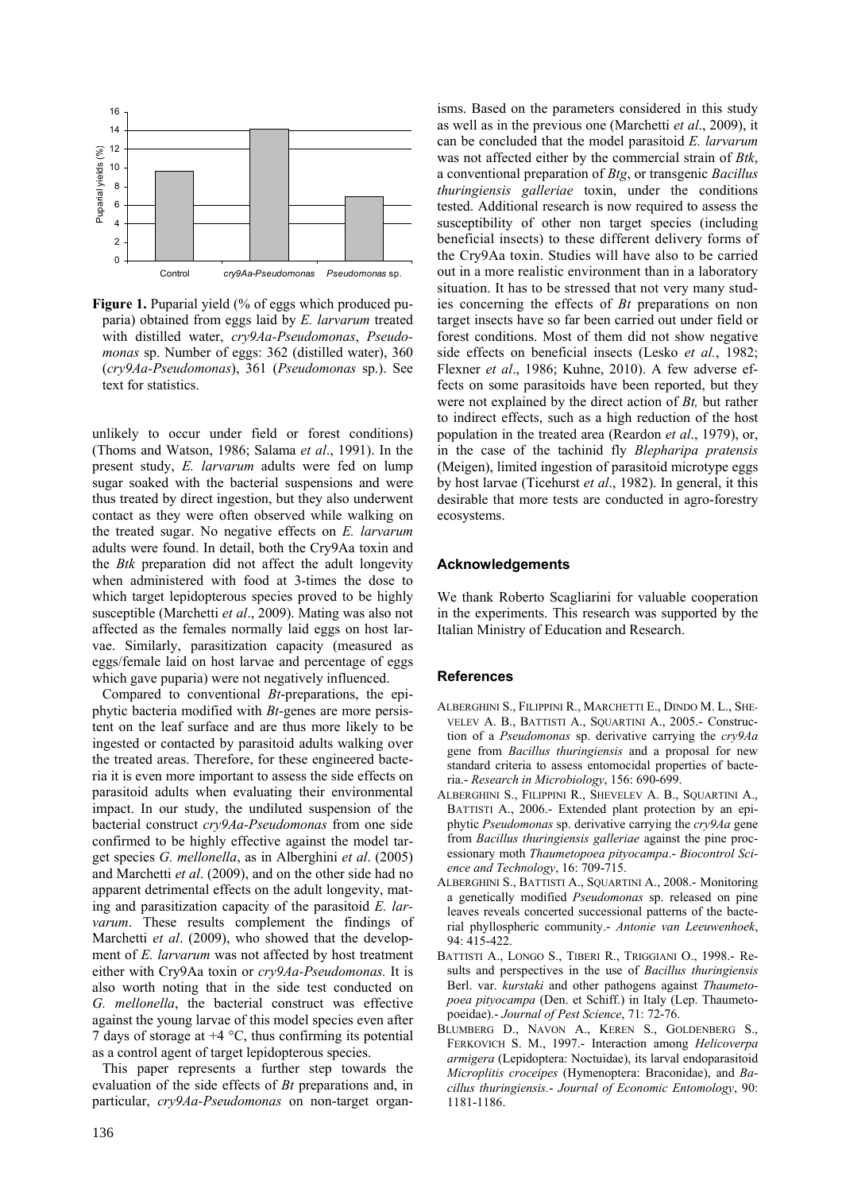

Figure 1. Puparial yield (% of eggs which produced puparia) obtained from eggs laid by *E. larvarum* treated with distilled water, *cry9Aa-Pseudomonas*, *Pseudomonas* sp. Number of eggs: 362 (distilled water), 360 (*cry9Aa-Pseudomonas*), 361 (*Pseudomonas* sp.). See text for statistics.

unlikely to occur under field or forest conditions) (Thoms and Watson, 1986; Salama *et al*., 1991). In the present study, *E. larvarum* adults were fed on lump sugar soaked with the bacterial suspensions and were thus treated by direct ingestion, but they also underwent contact as they were often observed while walking on the treated sugar. No negative effects on *E. larvarum* adults were found. In detail, both the Cry9Aa toxin and the *Btk* preparation did not affect the adult longevity when administered with food at 3-times the dose to which target lepidopterous species proved to be highly susceptible (Marchetti *et al*., 2009). Mating was also not affected as the females normally laid eggs on host larvae. Similarly, parasitization capacity (measured as eggs/female laid on host larvae and percentage of eggs which gave puparia) were not negatively influenced.

Compared to conventional *Bt*-preparations, the epiphytic bacteria modified with *Bt*-genes are more persistent on the leaf surface and are thus more likely to be ingested or contacted by parasitoid adults walking over the treated areas. Therefore, for these engineered bacteria it is even more important to assess the side effects on parasitoid adults when evaluating their environmental impact. In our study, the undiluted suspension of the bacterial construct *cry9Aa-Pseudomonas* from one side confirmed to be highly effective against the model target species *G. mellonella*, as in Alberghini *et al*. (2005) and Marchetti *et al*. (2009), and on the other side had no apparent detrimental effects on the adult longevity, mating and parasitization capacity of the parasitoid *E. larvarum*. These results complement the findings of Marchetti *et al*. (2009), who showed that the development of *E. larvarum* was not affected by host treatment either with Cry9Aa toxin or *cry9Aa-Pseudomonas.* It is also worth noting that in the side test conducted on *G. mellonella*, the bacterial construct was effective against the young larvae of this model species even after 7 days of storage at  $+4$  °C, thus confirming its potential as a control agent of target lepidopterous species.

This paper represents a further step towards the evaluation of the side effects of *Bt* preparations and, in particular, *cry9Aa-Pseudomonas* on non-target organisms. Based on the parameters considered in this study as well as in the previous one (Marchetti *et al*., 2009), it can be concluded that the model parasitoid *E. larvarum*  was not affected either by the commercial strain of *Btk*, a conventional preparation of *Btg*, or transgenic *Bacillus thuringiensis galleriae* toxin, under the conditions tested. Additional research is now required to assess the susceptibility of other non target species (including beneficial insects) to these different delivery forms of the Cry9Aa toxin. Studies will have also to be carried out in a more realistic environment than in a laboratory situation. It has to be stressed that not very many studies concerning the effects of *Bt* preparations on non target insects have so far been carried out under field or forest conditions. Most of them did not show negative side effects on beneficial insects (Lesko *et al.*, 1982; Flexner *et al*., 1986; Kuhne, 2010). A few adverse effects on some parasitoids have been reported, but they were not explained by the direct action of *Bt,* but rather to indirect effects, such as a high reduction of the host population in the treated area (Reardon *et al*., 1979), or, in the case of the tachinid fly *Blepharipa pratensis* (Meigen), limited ingestion of parasitoid microtype eggs by host larvae (Ticehurst *et al*., 1982). In general, it this desirable that more tests are conducted in agro-forestry ecosystems.

# **Acknowledgements**

We thank Roberto Scagliarini for valuable cooperation in the experiments. This research was supported by the Italian Ministry of Education and Research.

## **References**

- ALBERGHINI S., FILIPPINI R., MARCHETTI E., DINDO M. L., SHE-VELEV A. B., BATTISTI A., SQUARTINI A., 2005.- Construction of a *Pseudomonas* sp. derivative carrying the *cry9Aa* gene from *Bacillus thuringiensis* and a proposal for new standard criteria to assess entomocidal properties of bacteria.- *Research in Microbiology*, 156: 690-699.
- ALBERGHINI S., FILIPPINI R., SHEVELEV A. B., SQUARTINI A., BATTISTI A., 2006.- Extended plant protection by an epiphytic *Pseudomonas* sp. derivative carrying the *cry9Aa* gene from *Bacillus thuringiensis galleriae* against the pine processionary moth *Thaumetopoea pityocampa*.- *Biocontrol Science and Technology*, 16: 709-715.
- ALBERGHINI S., BATTISTI A., SQUARTINI A., 2008.- Monitoring a genetically modified *Pseudomonas* sp. released on pine leaves reveals concerted successional patterns of the bacterial phyllospheric community.- *Antonie van Leeuwenhoek*, 94: 415-422.
- BATTISTI A., LONGO S., TIBERI R., TRIGGIANI O., 1998.- Results and perspectives in the use of *Bacillus thuringiensis* Berl. var. *kurstaki* and other pathogens against *Thaumetopoea pityocampa* (Den. et Schiff.) in Italy (Lep. Thaumetopoeidae).- *Journal of Pest Science*, 71: 72-76.
- BLUMBERG D., NAVON A., KEREN S., GOLDENBERG S., FERKOVICH S. M., 1997.- Interaction among *Helicoverpa armigera* (Lepidoptera: Noctuidae), its larval endoparasitoid *Microplitis croceipes* (Hymenoptera: Braconidae), and *Bacillus thuringiensis.*- *Journal of Economic Entomology*, 90: 1181-1186.